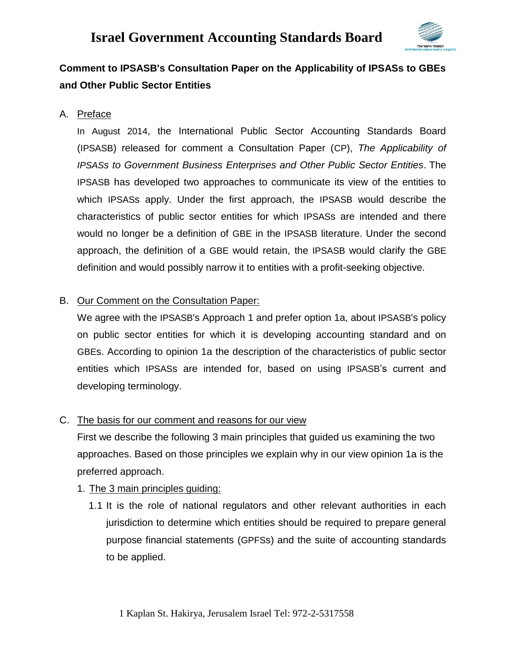

### **Comment to IPSASB's Consultation Paper on the Applicability of IPSASs to GBEs and Other Public Sector Entities**

### A. Preface

In August 2014, the International Public Sector Accounting Standards Board (IPSASB) released for comment a Consultation Paper (CP), *The Applicability of IPSASs to Government Business Enterprises and Other Public Sector Entities*. The IPSASB has developed two approaches to communicate its view of the entities to which IPSASs apply. Under the first approach, the IPSASB would describe the characteristics of public sector entities for which IPSASs are intended and there would no longer be a definition of GBE in the IPSASB literature. Under the second approach, the definition of a GBE would retain, the IPSASB would clarify the GBE definition and would possibly narrow it to entities with a profit-seeking objective.

### B. Our Comment on the Consultation Paper:

We agree with the IPSASB's Approach 1 and prefer option 1a, about IPSASB's policy on public sector entities for which it is developing accounting standard and on GBEs. According to opinion 1a the description of the characteristics of public sector entities which IPSASs are intended for, based on using IPSASB's current and developing terminology.

### C. The basis for our comment and reasons for our view

First we describe the following 3 main principles that guided us examining the two approaches. Based on those principles we explain why in our view opinion 1a is the preferred approach.

### 1. The 3 main principles guiding:

1.1 It is the role of national regulators and other relevant authorities in each jurisdiction to determine which entities should be required to prepare general purpose financial statements (GPFSs) and the suite of accounting standards to be applied.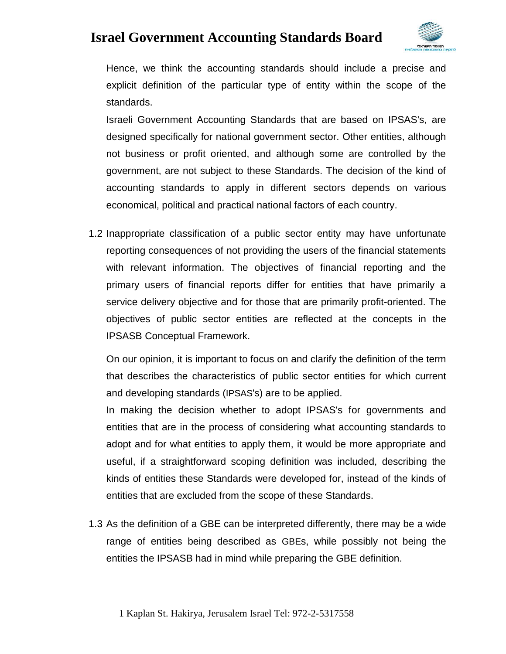

Hence, we think the accounting standards should include a precise and explicit definition of the particular type of entity within the scope of the standards.

Israeli Government Accounting Standards that are based on IPSAS's, are designed specifically for national government sector. Other entities, although not business or profit oriented, and although some are controlled by the government, are not subject to these Standards. The decision of the kind of accounting standards to apply in different sectors depends on various economical, political and practical national factors of each country.

1.2 Inappropriate classification of a public sector entity may have unfortunate reporting consequences of not providing the users of the financial statements with relevant information. The objectives of financial reporting and the primary users of financial reports differ for entities that have primarily a service delivery objective and for those that are primarily profit-oriented. The objectives of public sector entities are reflected at the concepts in the IPSASB Conceptual Framework.

On our opinion, it is important to focus on and clarify the definition of the term that describes the characteristics of public sector entities for which current and developing standards (IPSAS's) are to be applied.

In making the decision whether to adopt IPSAS's for governments and entities that are in the process of considering what accounting standards to adopt and for what entities to apply them, it would be more appropriate and useful, if a straightforward scoping definition was included, describing the kinds of entities these Standards were developed for, instead of the kinds of entities that are excluded from the scope of these Standards.

1.3 As the definition of a GBE can be interpreted differently, there may be a wide range of entities being described as GBEs, while possibly not being the entities the IPSASB had in mind while preparing the GBE definition.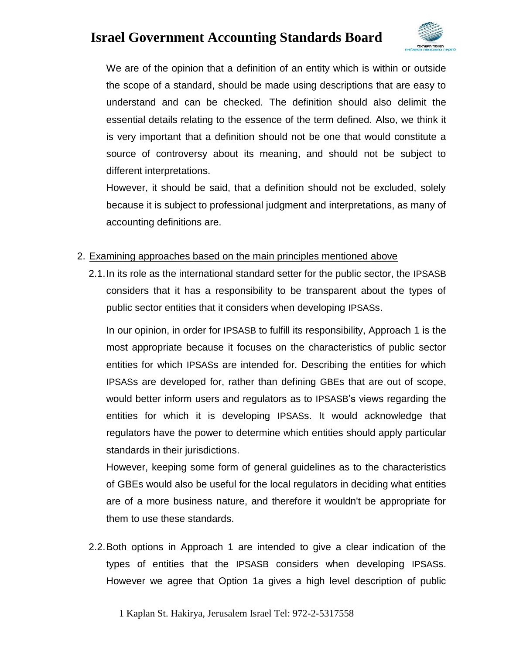

We are of the opinion that a definition of an entity which is within or outside the scope of a standard, should be made using descriptions that are easy to understand and can be checked. The definition should also delimit the essential details relating to the essence of the term defined. Also, we think it is very important that a definition should not be one that would constitute a source of controversy about its meaning, and should not be subject to different interpretations.

However, it should be said, that a definition should not be excluded, solely because it is subject to professional judgment and interpretations, as many of accounting definitions are.

#### 2. Examining approaches based on the main principles mentioned above

2.1.In its role as the international standard setter for the public sector, the IPSASB considers that it has a responsibility to be transparent about the types of public sector entities that it considers when developing IPSASs.

In our opinion, in order for IPSASB to fulfill its responsibility, Approach 1 is the most appropriate because it focuses on the characteristics of public sector entities for which IPSASs are intended for. Describing the entities for which IPSASs are developed for, rather than defining GBEs that are out of scope, would better inform users and regulators as to IPSASB's views regarding the entities for which it is developing IPSASs. It would acknowledge that regulators have the power to determine which entities should apply particular standards in their jurisdictions.

However, keeping some form of general guidelines as to the characteristics of GBEs would also be useful for the local regulators in deciding what entities are of a more business nature, and therefore it wouldn't be appropriate for them to use these standards.

2.2.Both options in Approach 1 are intended to give a clear indication of the types of entities that the IPSASB considers when developing IPSASs. However we agree that Option 1a gives a high level description of public

1 Kaplan St. Hakirya, Jerusalem Israel Tel: 972-2-5317558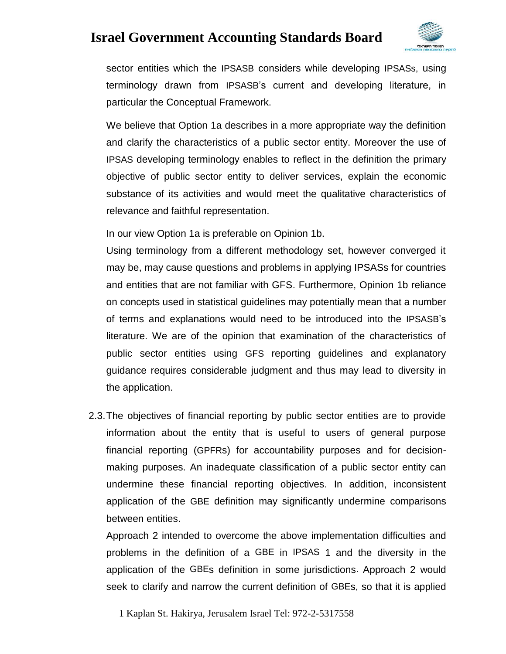

sector entities which the IPSASB considers while developing IPSASs, using terminology drawn from IPSASB's current and developing literature, in particular the Conceptual Framework.

We believe that Option 1a describes in a more appropriate way the definition and clarify the characteristics of a public sector entity. Moreover the use of IPSAS developing terminology enables to reflect in the definition the primary objective of public sector entity to deliver services, explain the economic substance of its activities and would meet the qualitative characteristics of relevance and faithful representation.

In our view Option 1a is preferable on Opinion 1b.

Using terminology from a different methodology set, however converged it may be, may cause questions and problems in applying IPSASs for countries and entities that are not familiar with GFS. Furthermore, Opinion 1b reliance on concepts used in statistical guidelines may potentially mean that a number of terms and explanations would need to be introduced into the IPSASB's literature. We are of the opinion that examination of the characteristics of public sector entities using GFS reporting guidelines and explanatory guidance requires considerable judgment and thus may lead to diversity in the application.

2.3.The objectives of financial reporting by public sector entities are to provide information about the entity that is useful to users of general purpose financial reporting (GPFRs) for accountability purposes and for decisionmaking purposes. An inadequate classification of a public sector entity can undermine these financial reporting objectives. In addition, inconsistent application of the GBE definition may significantly undermine comparisons between entities.

Approach 2 intended to overcome the above implementation difficulties and problems in the definition of a GBE in IPSAS 1 and the diversity in the application of the GBEs definition in some jurisdictions. Approach 2 would seek to clarify and narrow the current definition of GBEs, so that it is applied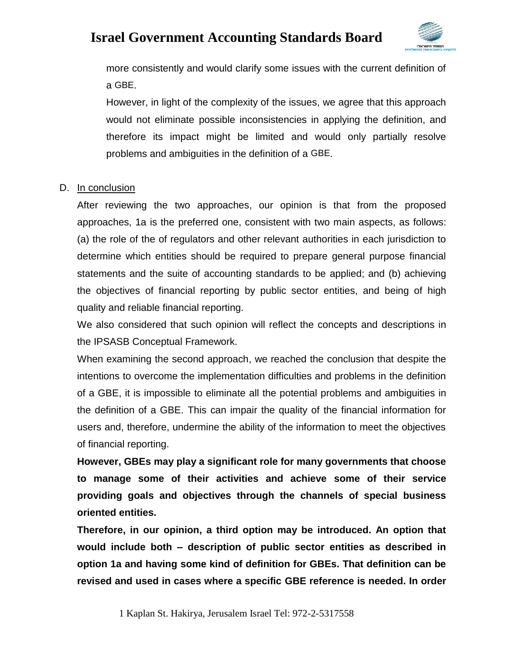

more consistently and would clarify some issues with the current definition of a GBE.

However, in light of the complexity of the issues, we agree that this approach would not eliminate possible inconsistencies in applying the definition, and therefore its impact might be limited and would only partially resolve problems and ambiguities in the definition of a GBE.

#### D. In conclusion

After reviewing the two approaches, our opinion is that from the proposed approaches, 1a is the preferred one, consistent with two main aspects, as follows: (a) the role of the of regulators and other relevant authorities in each jurisdiction to determine which entities should be required to prepare general purpose financial statements and the suite of accounting standards to be applied; and (b) achieving the objectives of financial reporting by public sector entities, and being of high quality and reliable financial reporting.

We also considered that such opinion will reflect the concepts and descriptions in the IPSASB Conceptual Framework.

When examining the second approach, we reached the conclusion that despite the intentions to overcome the implementation difficulties and problems in the definition of a GBE, it is impossible to eliminate all the potential problems and ambiguities in the definition of a GBE. This can impair the quality of the financial information for users and, therefore, undermine the ability of the information to meet the objectives of financial reporting.

**However, GBEs may play a significant role for many governments that choose to manage some of their activities and achieve some of their service providing goals and objectives through the channels of special business oriented entities.**

**Therefore, in our opinion, a third option may be introduced. An option that would include both – description of public sector entities as described in option 1a and having some kind of definition for GBEs. That definition can be revised and used in cases where a specific GBE reference is needed. In order**